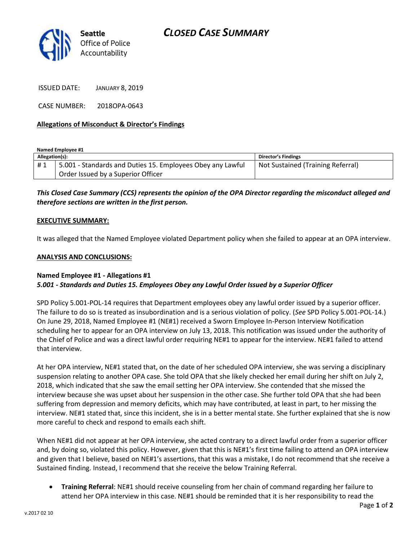

ISSUED DATE: JANUARY 8, 2019

CASE NUMBER: 2018OPA-0643

### **Allegations of Misconduct & Director's Findings**

**Named Employee #1**

| Allegation(s): |                                                            | <b>Director's Findings</b>        |
|----------------|------------------------------------------------------------|-----------------------------------|
| #1             | 5.001 - Standards and Duties 15. Employees Obey any Lawful | Not Sustained (Training Referral) |
|                | Order Issued by a Superior Officer                         |                                   |

*This Closed Case Summary (CCS) represents the opinion of the OPA Director regarding the misconduct alleged and therefore sections are written in the first person.* 

#### **EXECUTIVE SUMMARY:**

It was alleged that the Named Employee violated Department policy when she failed to appear at an OPA interview.

#### **ANALYSIS AND CONCLUSIONS:**

## **Named Employee #1 - Allegations #1** *5.001 - Standards and Duties 15. Employees Obey any Lawful Order Issued by a Superior Officer*

SPD Policy 5.001-POL-14 requires that Department employees obey any lawful order issued by a superior officer. The failure to do so is treated as insubordination and is a serious violation of policy. (*See* SPD Policy 5.001-POL-14.) On June 29, 2018, Named Employee #1 (NE#1) received a Sworn Employee In-Person Interview Notification scheduling her to appear for an OPA interview on July 13, 2018. This notification was issued under the authority of the Chief of Police and was a direct lawful order requiring NE#1 to appear for the interview. NE#1 failed to attend that interview.

At her OPA interview, NE#1 stated that, on the date of her scheduled OPA interview, she was serving a disciplinary suspension relating to another OPA case. She told OPA that she likely checked her email during her shift on July 2, 2018, which indicated that she saw the email setting her OPA interview. She contended that she missed the interview because she was upset about her suspension in the other case. She further told OPA that she had been suffering from depression and memory deficits, which may have contributed, at least in part, to her missing the interview. NE#1 stated that, since this incident, she is in a better mental state. She further explained that she is now more careful to check and respond to emails each shift.

When NE#1 did not appear at her OPA interview, she acted contrary to a direct lawful order from a superior officer and, by doing so, violated this policy. However, given that this is NE#1's first time failing to attend an OPA interview and given that I believe, based on NE#1's assertions, that this was a mistake, I do not recommend that she receive a Sustained finding. Instead, I recommend that she receive the below Training Referral.

• **Training Referral**: NE#1 should receive counseling from her chain of command regarding her failure to attend her OPA interview in this case. NE#1 should be reminded that it is her responsibility to read the